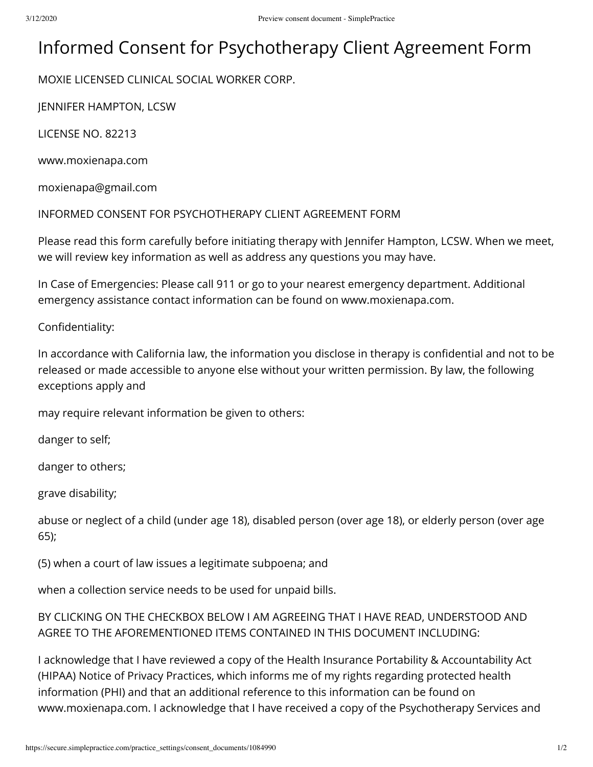## Informed Consent for Psychotherapy Client Agreement Form

MOXIE LICENSED CLINICAL SOCIAL WORKER CORP.

JENNIFER HAMPTON, LCSW

LICENSE NO. 82213

www.moxienapa.com

moxienapa@gmail.com

INFORMED CONSENT FOR PSYCHOTHERAPY CLIENT AGREEMENT FORM

Please read this form carefully before initiating therapy with Jennifer Hampton, LCSW. When we meet, we will review key information as well as address any questions you may have.

In Case of Emergencies: Please call 911 or go to your nearest emergency department. Additional emergency assistance contact information can be found on www.moxienapa.com.

Confidentiality:

In accordance with California law, the information you disclose in therapy is confidential and not to be released or made accessible to anyone else without your written permission. By law, the following exceptions apply and

may require relevant information be given to others:

danger to self;

danger to others;

grave disability;

abuse or neglect of a child (under age 18), disabled person (over age 18), or elderly person (over age 65);

(5) when a court of law issues a legitimate subpoena; and

when a collection service needs to be used for unpaid bills.

BY CLICKING ON THE CHECKBOX BELOW I AM AGREEING THAT I HAVE READ, UNDERSTOOD AND AGREE TO THE AFOREMENTIONED ITEMS CONTAINED IN THIS DOCUMENT INCLUDING:

I acknowledge that I have reviewed a copy of the Health Insurance Portability & Accountability Act (HIPAA) Notice of Privacy Practices, which informs me of my rights regarding protected health information (PHI) and that an additional reference to this information can be found on www.moxienapa.com. I acknowledge that I have received a copy of the Psychotherapy Services and